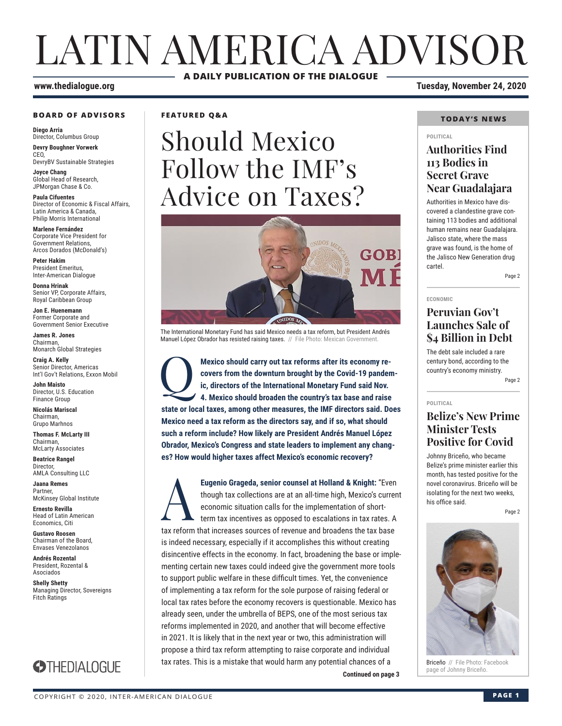# LATIN AMERICA ADVISOR **A DAILY PUBLICATION OF THE DIALOGUE**

#### **www.thedialogue.org Tuesday, November 24, 2020**

#### **BOARD OF ADVISORS**

**Diego Arria** Director, Columbus Group **Devry Boughner Vorwerk** C<sub>EO</sub>

DevryBV Sustainable Strategies

**Joyce Chang** Global Head of Research, JPMorgan Chase & Co.

**Paula Cifuentes** Director of Economic & Fiscal Affairs, Latin America & Canada, Philip Morris International

**Marlene Fernández** Corporate Vice President for Government Relations, Arcos Dorados (McDonald's)

**Peter Hakim** President Emeritus, Inter-American Dialogue

**Donna Hrinak** Senior VP, Corporate Affairs, Royal Caribbean Group

**Jon E. Huenemann** Former Corporate and Government Senior Executive

**James R. Jones** Chairman, Monarch Global Strategies

**Craig A. Kelly** Senior Director, Americas Int'l Gov't Relations, Exxon Mobil

**John Maisto** Director, U.S. Education Finance Group

**Nicolás Mariscal** Chairman, Grupo Marhnos

**Thomas F. McLarty III** Chairman, McLarty Associates

**Beatrice Rangel Director** AMLA Consulting LLC

**Jaana Remes** Partner, McKinsey Global Institute

**Ernesto Revilla**  Head of Latin American Economics, Citi

**Gustavo Roosen** Chairman of the Board, Envases Venezolanos

**Andrés Rozental**  President, Rozental & Asociados

**Shelly Shetty** Managing Director, Sovereigns Fitch Ratings



**FEATURED Q&A**

# Should Mexico Follow the IMF's Advice on Taxes?



The International Monetary Fund has said Mexico needs a tax reform, but President Andrés Manuel López Obrador has resisted raising taxes. // File Photo: Mexican Government

Mexico should carry out tax reforms after its economy recovers from the downturn brought by the Covid-19 pander ic, directors of the International Monetary Fund said Nov.<br>4. Mexico should broaden the country's tax base and **covers from the downturn brought by the Covid-19 pandemic, directors of the International Monetary Fund said Nov. 4. Mexico should broaden the country's tax base and raise state or local taxes, among other measures, the IMF directors said. Does Mexico need a tax reform as the directors say, and if so, what should such a reform include? How likely are President Andrés Manuel López Obrador, Mexico's Congress and state leaders to implement any changes? How would higher taxes affect Mexico's economic recovery?**

**Continued on page 3** Eugenio Grageda, senior counsel at Holland & Knight: "Even<br>though tax collections are at an all-time high, Mexico's curren<br>economic situation calls for the implementation of short-<br>term tax incentives as opposed to escalat though tax collections are at an all-time high, Mexico's current economic situation calls for the implementation of shortterm tax incentives as opposed to escalations in tax rates. A tax reform that increases sources of revenue and broadens the tax base is indeed necessary, especially if it accomplishes this without creating disincentive effects in the economy. In fact, broadening the base or implementing certain new taxes could indeed give the government more tools to support public welfare in these difficult times. Yet, the convenience of implementing a tax reform for the sole purpose of raising federal or local tax rates before the economy recovers is questionable. Mexico has already seen, under the umbrella of BEPS, one of the most serious tax reforms implemented in 2020, and another that will become effective in 2021. It is likely that in the next year or two, this administration will propose a third tax reform attempting to raise corporate and individual tax rates. This is a mistake that would harm any potential chances of a

#### **TODAY'S NEWS**

#### **POLITICAL**

## **Authorities Find 113 Bodies in Secret Grave Near Guadalajara**

Authorities in Mexico have discovered a clandestine grave containing 113 bodies and additional human remains near Guadalajara. Jalisco state, where the mass grave was found, is the home of the Jalisco New Generation drug cartel.

Page 2

## **ECONOMIC**

## **Peruvian Gov't Launches Sale of \$4 Billion in Debt**

The debt sale included a rare century bond, according to the country's economy ministry.

Page 2

#### **POLITICAL**

## **Belize's New Prime Minister Tests Positive for Covid**

Johnny Briceño, who became Belize's prime minister earlier this month, has tested positive for the novel coronavirus. Briceño will be isolating for the next two weeks, his office said.

Page 2



Briceño // File Photo: Facebook<br>page of Johnny Briceño.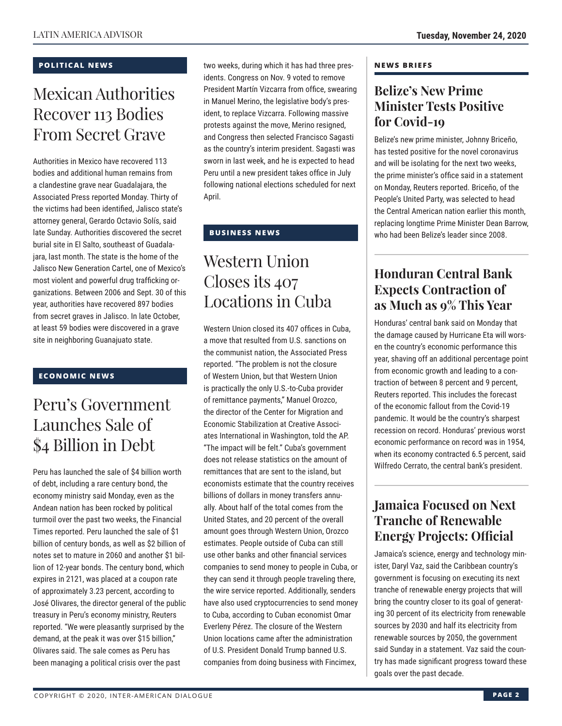### **POLITICAL NEWS**

# Mexican Authorities Recover 113 Bodies From Secret Grave

Authorities in Mexico have recovered 113 bodies and additional human remains from a clandestine grave near Guadalajara, the Associated Press reported Monday. Thirty of the victims had been identified, Jalisco state's attorney general, Gerardo Octavio Solís, said late Sunday. Authorities discovered the secret burial site in El Salto, southeast of Guadalajara, last month. The state is the home of the Jalisco New Generation Cartel, one of Mexico's most violent and powerful drug trafficking organizations. Between 2006 and Sept. 30 of this year, authorities have recovered 897 bodies from secret graves in Jalisco. In late October, at least 59 bodies were discovered in a grave site in neighboring Guanajuato state.

#### **ECONOMIC NEWS**

# Peru's Government Launches Sale of \$4 Billion in Debt

Peru has launched the sale of \$4 billion worth of debt, including a rare century bond, the economy ministry said Monday, even as the Andean nation has been rocked by political turmoil over the past two weeks, the Financial Times reported. Peru launched the sale of \$1 billion of century bonds, as well as \$2 billion of notes set to mature in 2060 and another \$1 billion of 12-year bonds. The century bond, which expires in 2121, was placed at a coupon rate of approximately 3.23 percent, according to José Olivares, the director general of the public treasury in Peru's economy ministry, Reuters reported. "We were pleasantly surprised by the demand, at the peak it was over \$15 billion," Olivares said. The sale comes as Peru has been managing a political crisis over the past

two weeks, during which it has had three presidents. Congress on Nov. 9 voted to remove President Martín Vizcarra from office, swearing in Manuel Merino, the legislative body's president, to replace Vizcarra. Following massive protests against the move, Merino resigned, and Congress then selected Francisco Sagasti as the country's interim president. Sagasti was sworn in last week, and he is expected to head Peru until a new president takes office in July following national elections scheduled for next April.

## **BUSINESS NEWS**

# Western Union Closes its 407 Locations in Cuba

Western Union closed its 407 offices in Cuba, a move that resulted from U.S. sanctions on the communist nation, the Associated Press reported. "The problem is not the closure of Western Union, but that Western Union is practically the only U.S.-to-Cuba provider of remittance payments," Manuel Orozco, the director of the Center for Migration and Economic Stabilization at Creative Associates International in Washington, told the AP. "The impact will be felt." Cuba's government does not release statistics on the amount of remittances that are sent to the island, but economists estimate that the country receives billions of dollars in money transfers annually. About half of the total comes from the United States, and 20 percent of the overall amount goes through Western Union, Orozco estimates. People outside of Cuba can still use other banks and other financial services companies to send money to people in Cuba, or they can send it through people traveling there, the wire service reported. Additionally, senders have also used cryptocurrencies to send money to Cuba, according to Cuban economist Omar Everleny Pérez. The closure of the Western Union locations came after the administration of U.S. President Donald Trump banned U.S. companies from doing business with Fincimex,

#### **NEWS BRIEFS**

## **Belize's New Prime Minister Tests Positive for Covid-19**

Belize's new prime minister, Johnny Briceño, has tested positive for the novel coronavirus and will be isolating for the next two weeks, the prime minister's office said in a statement on Monday, Reuters reported. Briceño, of the People's United Party, was selected to head the Central American nation earlier this month, replacing longtime Prime Minister Dean Barrow, who had been Belize's leader since 2008.

## **Honduran Central Bank Expects Contraction of as Much as 9% This Year**

Honduras' central bank said on Monday that the damage caused by Hurricane Eta will worsen the country's economic performance this year, shaving off an additional percentage point from economic growth and leading to a contraction of between 8 percent and 9 percent, Reuters reported. This includes the forecast of the economic fallout from the Covid-19 pandemic. It would be the country's sharpest recession on record. Honduras' previous worst economic performance on record was in 1954, when its economy contracted 6.5 percent, said Wilfredo Cerrato, the central bank's president.

## **Jamaica Focused on Next Tranche of Renewable Energy Projects: Official**

Jamaica's science, energy and technology minister, Daryl Vaz, said the Caribbean country's government is focusing on executing its next tranche of renewable energy projects that will bring the country closer to its goal of generating 30 percent of its electricity from renewable sources by 2030 and half its electricity from renewable sources by 2050, the government said Sunday in a statement. Vaz said the country has made significant progress toward these goals over the past decade.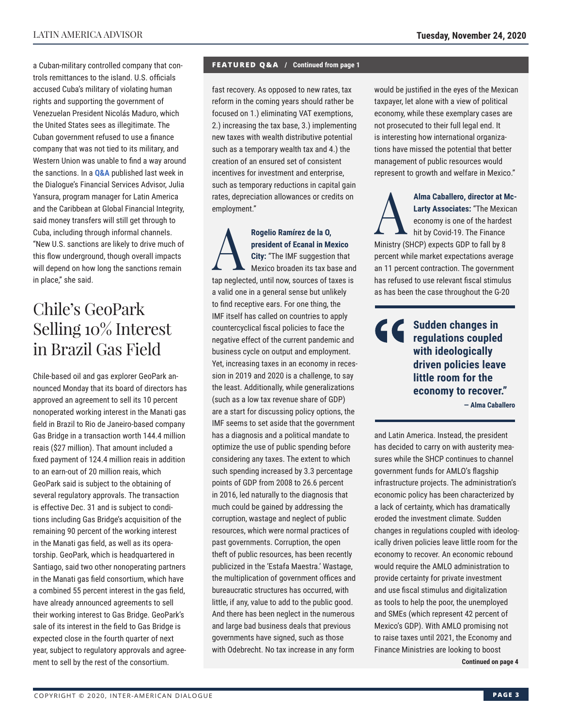a Cuban-military controlled company that controls remittances to the island. U.S. officials accused Cuba's military of violating human rights and supporting the government of Venezuelan President Nicolás Maduro, which the United States sees as illegitimate. The Cuban government refused to use a finance company that was not tied to its military, and Western Union was unable to find a way around the sanctions. In a **Q&A** [publi](http://www.thedialogue.org/wp-content/uploads/2020/11/FSA201118.pdf)shed last week in the Dialogue's Financial Services Advisor, Julia Yansura, program manager for Latin America and the Caribbean at Global Financial Integrity, said money transfers will still get through to Cuba, including through informal channels. "New U.S. sanctions are likely to drive much of this flow underground, though overall impacts will depend on how long the sanctions remain in place," she said.

# Chile's GeoPark Selling 10% Interest in Brazil Gas Field

Chile-based oil and gas explorer GeoPark announced Monday that its board of directors has approved an agreement to sell its 10 percent nonoperated working interest in the Manati gas field in Brazil to Rio de Janeiro-based company Gas Bridge in a transaction worth 144.4 million reais (\$27 million). That amount included a fixed payment of 124.4 million reais in addition to an earn-out of 20 million reais, which GeoPark said is subject to the obtaining of several regulatory approvals. The transaction is effective Dec. 31 and is subject to conditions including Gas Bridge's acquisition of the remaining 90 percent of the working interest in the Manati gas field, as well as its operatorship. GeoPark, which is headquartered in Santiago, said two other nonoperating partners in the Manati gas field consortium, which have a combined 55 percent interest in the gas field, have already announced agreements to sell their working interest to Gas Bridge. GeoPark's sale of its interest in the field to Gas Bridge is expected close in the fourth quarter of next year, subject to regulatory approvals and agreement to sell by the rest of the consortium.

#### **FEATURED Q&A / Continued from page 1**

fast recovery. As opposed to new rates, tax reform in the coming years should rather be focused on 1.) eliminating VAT exemptions, 2.) increasing the tax base, 3.) implementing new taxes with wealth distributive potential such as a temporary wealth tax and 4.) the creation of an ensured set of consistent incentives for investment and enterprise, such as temporary reductions in capital gain rates, depreciation allowances or credits on employment."

Rogelio Ramírez de la 0,<br>
president of Ecanal in Me<br>
City: "The IMF suggestion<br>
Mexico broaden its tax ba **president of Ecanal in Mexico City:** "The IMF suggestion that Mexico broaden its tax base and tap neglected, until now, sources of taxes is a valid one in a general sense but unlikely to find receptive ears. For one thing, the IMF itself has called on countries to apply countercyclical fiscal policies to face the negative effect of the current pandemic and business cycle on output and employment. Yet, increasing taxes in an economy in recession in 2019 and 2020 is a challenge, to say the least. Additionally, while generalizations (such as a low tax revenue share of GDP) are a start for discussing policy options, the IMF seems to set aside that the government has a diagnosis and a political mandate to optimize the use of public spending before considering any taxes. The extent to which such spending increased by 3.3 percentage points of GDP from 2008 to 26.6 percent in 2016, led naturally to the diagnosis that much could be gained by addressing the corruption, wastage and neglect of public resources, which were normal practices of past governments. Corruption, the open theft of public resources, has been recently publicized in the 'Estafa Maestra.' Wastage, the multiplication of government offices and bureaucratic structures has occurred, with little, if any, value to add to the public good. And there has been neglect in the numerous and large bad business deals that previous governments have signed, such as those with Odebrecht. No tax increase in any form

would be justified in the eyes of the Mexican taxpayer, let alone with a view of political economy, while these exemplary cases are not prosecuted to their full legal end. It is interesting how international organizations have missed the potential that better management of public resources would represent to growth and welfare in Mexico."

Alma Caballero, director at Mc-<br>
Larty Associates: "The Mexican<br>
economy is one of the hardest<br>
hit by Covid-19. The Finance<br>
Ministry (CHCD) expects CDD to foll by 9. **Larty Associates:** "The Mexican economy is one of the hardest hit by Covid-19. The Finance Ministry (SHCP) expects GDP to fall by 8 percent while market expectations average an 11 percent contraction. The government has refused to use relevant fiscal stimulus as has been the case throughout the G-20

> **Sudden changes in regulations coupled with ideologically driven policies leave little room for the economy to recover."**

**— Alma Caballero**

and Latin America. Instead, the president has decided to carry on with austerity measures while the SHCP continues to channel government funds for AMLO's flagship infrastructure projects. The administration's economic policy has been characterized by a lack of certainty, which has dramatically eroded the investment climate. Sudden changes in regulations coupled with ideologically driven policies leave little room for the economy to recover. An economic rebound would require the AMLO administration to provide certainty for private investment and use fiscal stimulus and digitalization as tools to help the poor, the unemployed and SMEs (which represent 42 percent of Mexico's GDP). With AMLO promising not to raise taxes until 2021, the Economy and Finance Ministries are looking to boost **Continued on page 4** 

COPYRIGHT © 2020, INTER-AMERICAN DIALOGUE **PAGE 3**